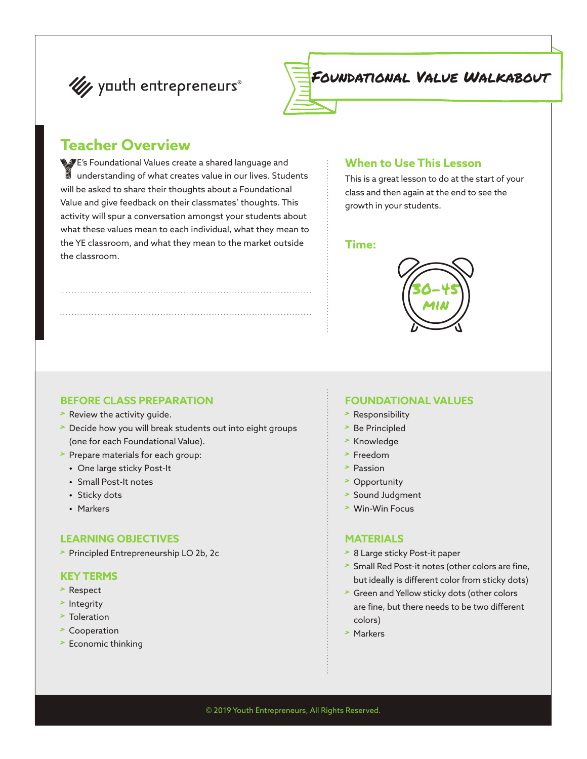



Foundational Value Walkabout

### **Teacher Overview**

YE's Foundational Values create a shared language and understanding of what creates value in our lives. Students will be asked to share their thoughts about a Foundational Value and give feedback on their classmates' thoughts. This activity will spur a conversation amongst your students about what these values mean to each individual, what they mean to the YE classroom, and what they mean to the market outside the classroom.

#### **When to Use This Lesson**

This is a great lesson to do at the start of your class and then again at the end to see the growth in your students.

#### **Time:**



#### **BEFORE CLASS PREPARATION**

- > Review the activity guide.
- > Decide how you will break students out into eight groups (one for each Foundational Value).
- > Prepare materials for each group:
	- **•** One large sticky Post-It
	- **•** Small Post-It notes
	- **•** Sticky dots
	- **•** Markers

#### **LEARNING OBJECTIVES**

> Principled Entrepreneurship LO 2b, 2c

#### **KEY TERMS**

- > Respect
- > Integrity
- > Toleration
- > Cooperation
- > Economic thinking

#### **FOUNDATIONAL VALUES**

- > Responsibility
- > Be Principled
- > Knowledge
- > Freedom
- > Passion
- > Opportunity
- > Sound Judgment
- > Win-Win Focus

#### **MATERIALS**

- > 8 Large sticky Post-it paper
- > Small Red Post-it notes (other colors are fine, but ideally is different color from sticky dots)
- > Green and Yellow sticky dots (other colors are fine, but there needs to be two different colors)
- > Markers